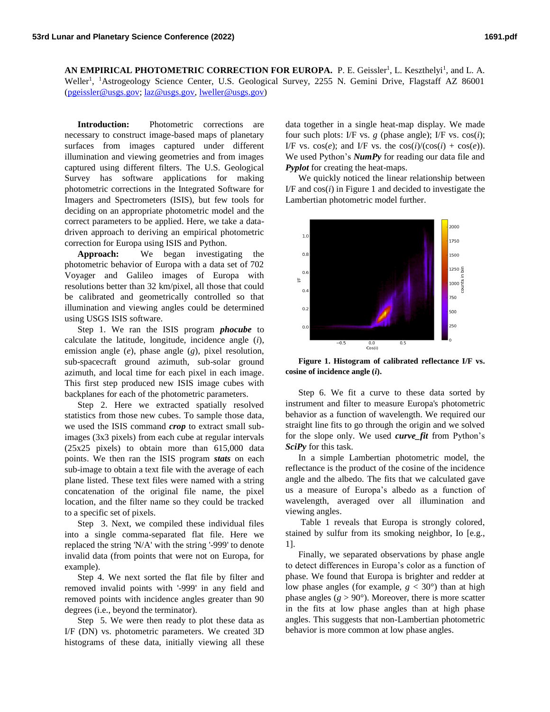AN EMPIRICAL PHOTOMETRIC CORRECTION FOR EUROPA. P. E. Geissler<sup>1</sup>, L. Keszthelyi<sup>1</sup>, and L. A. Weller<sup>1</sup>, <sup>1</sup>Astrogeology Science Center, U.S. Geological Survey, 2255 N. Gemini Drive, Flagstaff AZ 86001 [\(pgeissler@usgs.gov;](mailto:pgeissler@usgs.gov) [laz@usgs.gov,](mailto:laz@usgs.gov) [lweller@usgs.gov\)](mailto:lweller@usgs.gov)

**Introduction:** Photometric corrections are necessary to construct image-based maps of planetary surfaces from images captured under different illumination and viewing geometries and from images captured using different filters. The U.S. Geological Survey has software applications for making photometric corrections in the Integrated Software for Imagers and Spectrometers (ISIS), but few tools for deciding on an appropriate photometric model and the correct parameters to be applied. Here, we take a datadriven approach to deriving an empirical photometric correction for Europa using ISIS and Python.

**Approach:** We began investigating the photometric behavior of Europa with a data set of 702 Voyager and Galileo images of Europa with resolutions better than 32 km/pixel, all those that could be calibrated and geometrically controlled so that illumination and viewing angles could be determined using USGS ISIS software.

Step 1. We ran the ISIS program *phocube* to calculate the latitude, longitude, incidence angle (*i*), emission angle (*e*), phase angle (*g*), pixel resolution, sub-spacecraft ground azimuth, sub-solar ground azimuth, and local time for each pixel in each image. This first step produced new ISIS image cubes with backplanes for each of the photometric parameters.

Step 2. Here we extracted spatially resolved statistics from those new cubes. To sample those data, we used the ISIS command *crop* to extract small subimages (3x3 pixels) from each cube at regular intervals (25x25 pixels) to obtain more than 615,000 data points. We then ran the ISIS program *stats* on each sub-image to obtain a text file with the average of each plane listed. These text files were named with a string concatenation of the original file name, the pixel location, and the filter name so they could be tracked to a specific set of pixels.

Step 3. Next, we compiled these individual files into a single comma-separated flat file. Here we replaced the string 'N/A' with the string '-999' to denote invalid data (from points that were not on Europa, for example).

Step 4. We next sorted the flat file by filter and removed invalid points with '-999' in any field and removed points with incidence angles greater than 90 degrees (i.e., beyond the terminator).

Step 5. We were then ready to plot these data as I/F (DN) vs. photometric parameters. We created 3D histograms of these data, initially viewing all these

data together in a single heat-map display. We made four such plots: I/F vs. *g* (phase angle); I/F vs. cos(*i*); I/F vs. cos(*e*); and I/F vs. the  $cos(i)/(cos(i) + cos(e))$ . We used Python's *NumPy* for reading our data file and *Pyplot* for creating the heat-maps.

We quickly noticed the linear relationship between I/F and  $cos(i)$  in Figure 1 and decided to investigate the Lambertian photometric model further.



**Figure 1. Histogram of calibrated reflectance I/F vs. cosine of incidence angle (***i***).**

Step 6. We fit a curve to these data sorted by instrument and filter to measure Europa's photometric behavior as a function of wavelength. We required our straight line fits to go through the origin and we solved for the slope only. We used *curve\_fit* from Python's *SciPy* for this task.

In a simple Lambertian photometric model, the reflectance is the product of the cosine of the incidence angle and the albedo. The fits that we calculated gave us a measure of Europa's albedo as a function of wavelength, averaged over all illumination and viewing angles.

Table 1 reveals that Europa is strongly colored, stained by sulfur from its smoking neighbor, Io [e.g., 1].

Finally, we separated observations by phase angle to detect differences in Europa's color as a function of phase. We found that Europa is brighter and redder at low phase angles (for example,  $g < 30^{\circ}$ ) than at high phase angles  $(g > 90^\circ)$ . Moreover, there is more scatter in the fits at low phase angles than at high phase angles. This suggests that non-Lambertian photometric behavior is more common at low phase angles.